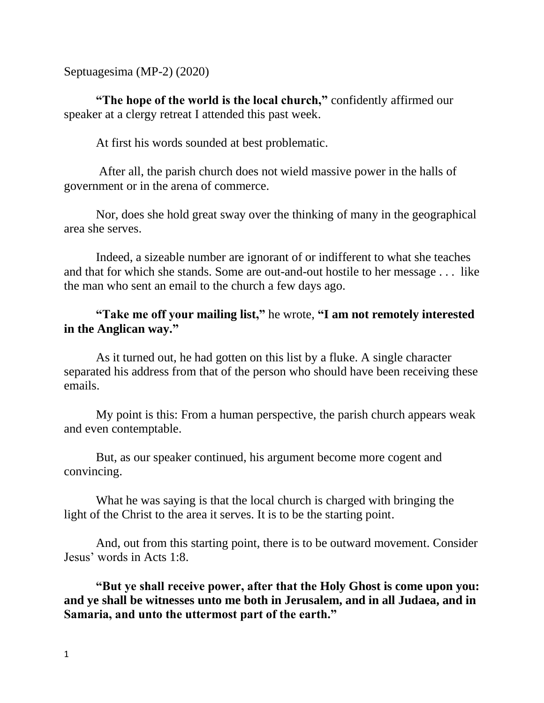Septuagesima (MP-2) (2020)

**"The hope of the world is the local church,"** confidently affirmed our speaker at a clergy retreat I attended this past week.

At first his words sounded at best problematic.

After all, the parish church does not wield massive power in the halls of government or in the arena of commerce.

Nor, does she hold great sway over the thinking of many in the geographical area she serves.

Indeed, a sizeable number are ignorant of or indifferent to what she teaches and that for which she stands. Some are out-and-out hostile to her message . . . like the man who sent an email to the church a few days ago.

# **"Take me off your mailing list,"** he wrote, **"I am not remotely interested in the Anglican way."**

As it turned out, he had gotten on this list by a fluke. A single character separated his address from that of the person who should have been receiving these emails.

My point is this: From a human perspective, the parish church appears weak and even contemptable.

But, as our speaker continued, his argument become more cogent and convincing.

What he was saying is that the local church is charged with bringing the light of the Christ to the area it serves. It is to be the starting point.

And, out from this starting point, there is to be outward movement. Consider Jesus' words in Acts 1:8.

**"But ye shall receive power, after that the Holy Ghost is come upon you: and ye shall be witnesses unto me both in Jerusalem, and in all Judaea, and in Samaria, and unto the uttermost part of the earth."**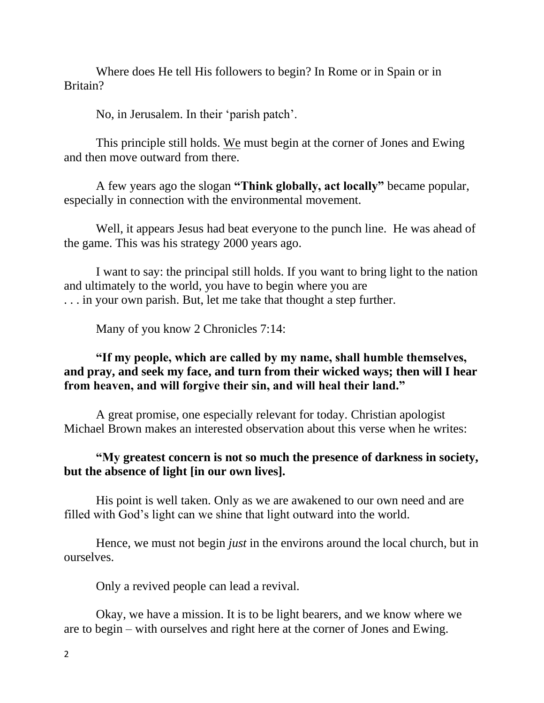Where does He tell His followers to begin? In Rome or in Spain or in Britain?

No, in Jerusalem. In their 'parish patch'.

This principle still holds. We must begin at the corner of Jones and Ewing and then move outward from there.

A few years ago the slogan **"Think globally, act locally"** became popular, especially in connection with the environmental movement.

Well, it appears Jesus had beat everyone to the punch line. He was ahead of the game. This was his strategy 2000 years ago.

I want to say: the principal still holds. If you want to bring light to the nation and ultimately to the world, you have to begin where you are . . . in your own parish. But, let me take that thought a step further.

Many of you know 2 Chronicles 7:14:

## **"If my people, which are called by my name, shall humble themselves, and pray, and seek my face, and turn from their wicked ways; then will I hear from heaven, and will forgive their sin, and will heal their land."**

A great promise, one especially relevant for today. Christian apologist Michael Brown makes an interested observation about this verse when he writes:

#### **"My greatest concern is not so much the presence of darkness in society, but the absence of light [in our own lives].**

His point is well taken. Only as we are awakened to our own need and are filled with God's light can we shine that light outward into the world.

Hence, we must not begin *just* in the environs around the local church, but in ourselves.

Only a revived people can lead a revival.

Okay, we have a mission. It is to be light bearers, and we know where we are to begin – with ourselves and right here at the corner of Jones and Ewing.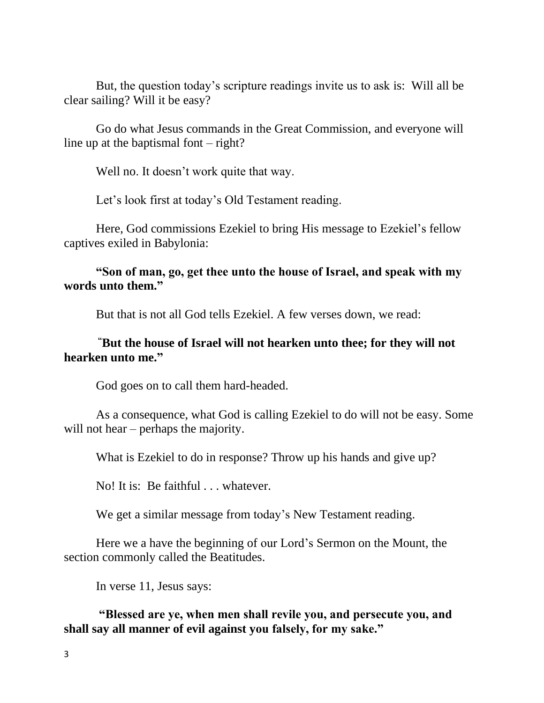But, the question today's scripture readings invite us to ask is: Will all be clear sailing? Will it be easy?

Go do what Jesus commands in the Great Commission, and everyone will line up at the baptismal font  $-$  right?

Well no. It doesn't work quite that way.

Let's look first at today's Old Testament reading.

Here, God commissions Ezekiel to bring His message to Ezekiel's fellow captives exiled in Babylonia:

### **"Son of man, go, get thee unto the house of Israel, and speak with my words unto them."**

But that is not all God tells Ezekiel. A few verses down, we read:

### **"But the house of Israel will not hearken unto thee; for they will not hearken unto me."**

God goes on to call them hard-headed.

As a consequence, what God is calling Ezekiel to do will not be easy. Some will not hear – perhaps the majority.

What is Ezekiel to do in response? Throw up his hands and give up?

No! It is: Be faithful . . . whatever.

We get a similar message from today's New Testament reading.

Here we a have the beginning of our Lord's Sermon on the Mount, the section commonly called the Beatitudes.

In verse 11, Jesus says:

**"Blessed are ye, when men shall revile you, and persecute you, and shall say all manner of evil against you falsely, for my sake."**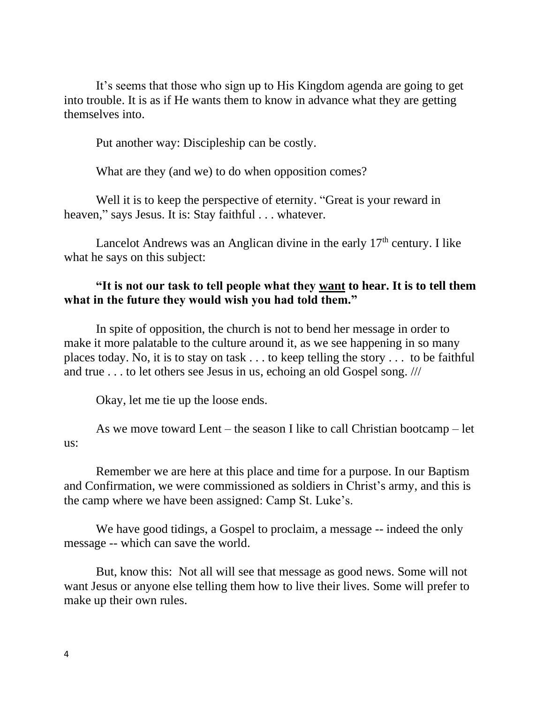It's seems that those who sign up to His Kingdom agenda are going to get into trouble. It is as if He wants them to know in advance what they are getting themselves into.

Put another way: Discipleship can be costly.

What are they (and we) to do when opposition comes?

Well it is to keep the perspective of eternity. "Great is your reward in heaven," says Jesus. It is: Stay faithful . . . whatever.

Lancelot Andrews was an Anglican divine in the early 17<sup>th</sup> century. I like what he says on this subject:

## **"It is not our task to tell people what they want to hear. It is to tell them what in the future they would wish you had told them."**

In spite of opposition, the church is not to bend her message in order to make it more palatable to the culture around it, as we see happening in so many places today. No, it is to stay on task . . . to keep telling the story . . . to be faithful and true . . . to let others see Jesus in us, echoing an old Gospel song. ///

Okay, let me tie up the loose ends.

As we move toward Lent – the season I like to call Christian bootcamp – let us:

Remember we are here at this place and time for a purpose. In our Baptism and Confirmation, we were commissioned as soldiers in Christ's army, and this is the camp where we have been assigned: Camp St. Luke's.

We have good tidings, a Gospel to proclaim, a message -- indeed the only message -- which can save the world.

But, know this: Not all will see that message as good news. Some will not want Jesus or anyone else telling them how to live their lives. Some will prefer to make up their own rules.